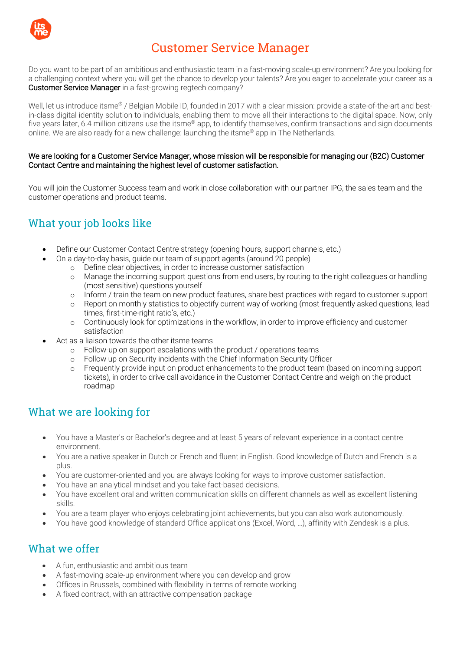

# Customer Service Manager

Do you want to be part of an ambitious and enthusiastic team in a fast-moving scale-up environment? Are you looking for a challenging context where you will get the chance to develop your talents? Are you eager to accelerate your career as a Customer Service Manager in a fast-growing regtech company?

Well, let us introduce itsme<sup>®</sup> / Belgian Mobile ID, founded in 2017 with a clear mission: provide a state-of-the-art and bestin-class digital identity solution to individuals, enabling them to move all their interactions to the digital space. Now, only five years later, 6.4 million citizens use the itsme® app, to identify themselves, confirm transactions and sign documents online. We are also ready for a new challenge: launching the itsme® app in The Netherlands.

#### We are looking for a Customer Service Manager, whose mission will be responsible for managing our (B2C) Customer Contact Centre and maintaining the highest level of customer satisfaction.

You will join the Customer Success team and work in close collaboration with our partner IPG, the sales team and the customer operations and product teams.

## What your job looks like

- Define our Customer Contact Centre strategy (opening hours, support channels, etc.)
	- On a day-to-day basis, guide our team of support agents (around 20 people)
		- o Define clear objectives, in order to increase customer satisfaction
		- o Manage the incoming support questions from end users, by routing to the right colleagues or handling (most sensitive) questions yourself
		- o Inform / train the team on new product features, share best practices with regard to customer support
		- o Report on monthly statistics to objectify current way of working (most frequently asked questions, lead times, first-time-right ratio's, etc.)
		- o Continuously look for optimizations in the workflow, in order to improve efficiency and customer satisfaction
- Act as a liaison towards the other itsme teams
	- o Follow-up on support escalations with the product / operations teams<br>
	o Follow up on Security incidents with the Chief Information Security Off
	- o Follow up on Security incidents with the Chief Information Security Officer<br>
	o Frequently provide input on product enhancements to the product team (h
	- Frequently provide input on product enhancements to the product team (based on incoming support tickets), in order to drive call avoidance in the Customer Contact Centre and weigh on the product roadmap

## What we are looking for

- You have a Master's or Bachelor's degree and at least 5 years of relevant experience in a contact centre environment.
- You are a native speaker in Dutch or French and fluent in English. Good knowledge of Dutch and French is a plus.
- You are customer-oriented and you are always looking for ways to improve customer satisfaction.
- You have an analytical mindset and you take fact-based decisions.
- You have excellent oral and written communication skills on different channels as well as excellent listening skills.
- You are a team player who enjoys celebrating joint achievements, but you can also work autonomously.
- You have good knowledge of standard Office applications (Excel, Word, …), affinity with Zendesk is a plus.

## What we offer

- A fun, enthusiastic and ambitious team
- A fast-moving scale-up environment where you can develop and grow
- Offices in Brussels, combined with flexibility in terms of remote working
- A fixed contract, with an attractive compensation package